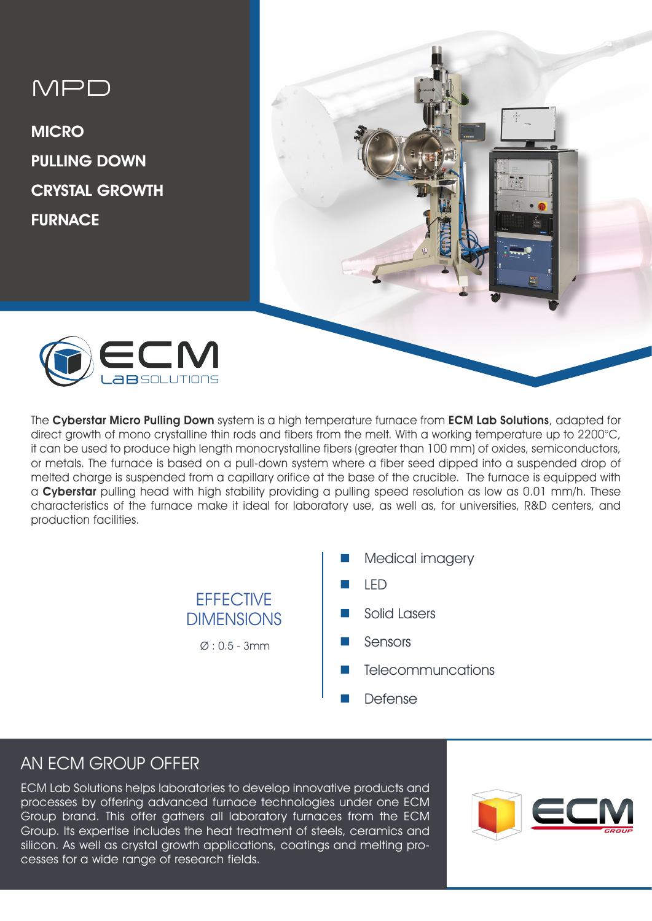# MPD

**MICRO** PULLING DOWN CRYSTAL GROWTH FURNACE





The Cyberstar Micro Pulling Down system is a high temperature furnace from ECM Lab Solutions, adapted for direct growth of mono crystalline thin rods and fibers from the melt. With a working temperature up to 2200°C, it can be used to produce high length monocrystalline fibers (greater than 100 mm) of oxides, semiconductors, or metals. The furnace is based on a pull-down system where a fiber seed dipped into a suspended drop of melted charge is suspended from a capillary orifice at the base of the crucible. The furnace is equipped with a Cyberstar pulling head with high stability providing a pulling speed resolution as low as 0.01 mm/h. These characteristics of the furnace make it ideal for laboratory use, as well as, for universities, R&D centers, and production facilities.

> **EFFECTIVE DIMENSIONS**  $\varnothing$  : 0.5 - 3mm

- Medical imagery
- n LED
- Solid Lasers
- Sensors
- **Telecommuncations**
- **Defense**

# AN ECM GROUP OFFER

ECM Lab Solutions helps laboratories to develop innovative products and processes by offering advanced furnace technologies under one ECM Group brand. This offer gathers all laboratory furnaces from the ECM Group. Its expertise includes the heat treatment of steels, ceramics and silicon. As well as crystal growth applications, coatings and melting processes for a wide range of research fields.